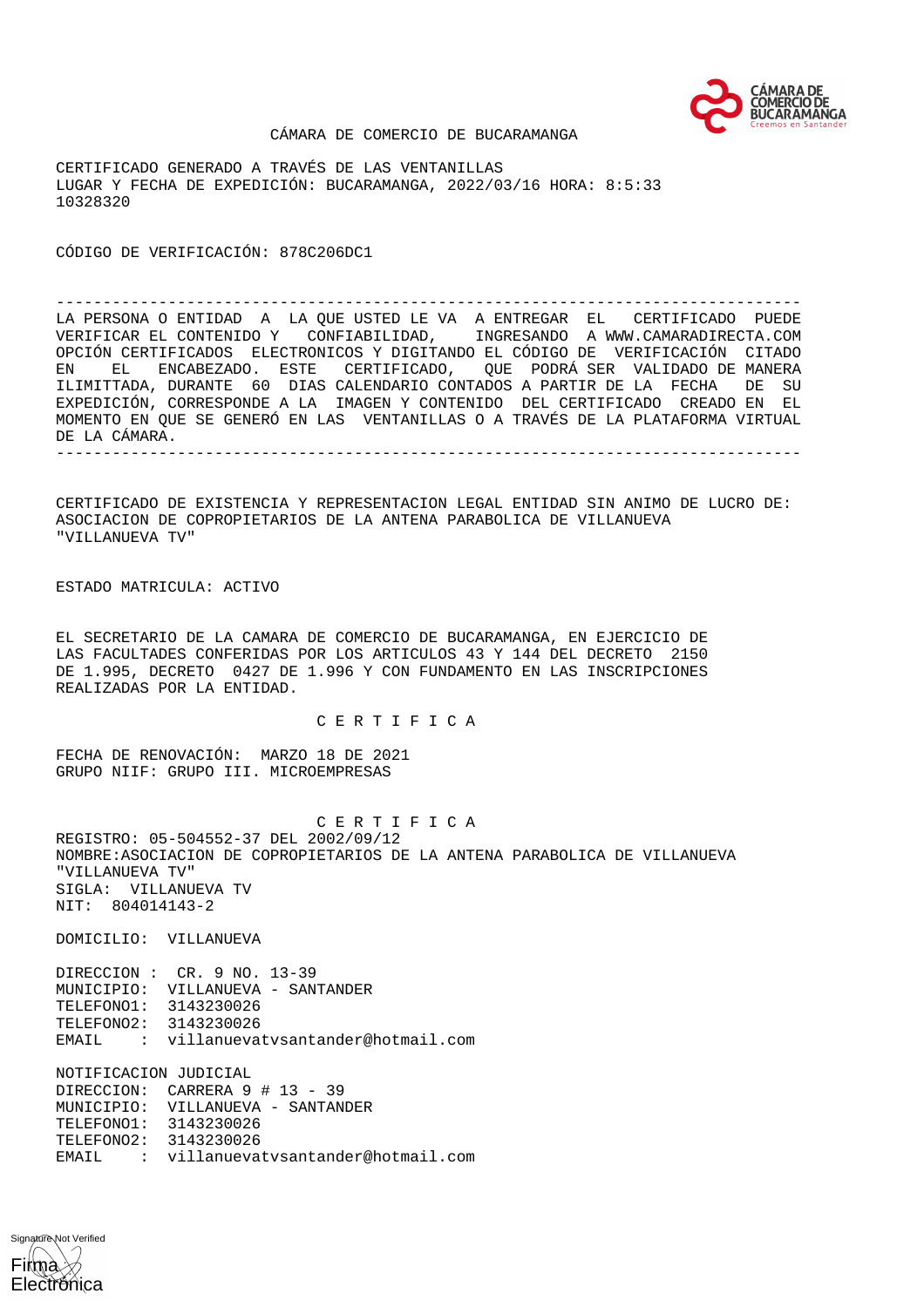

### CÁMARA DE COMERCIO DE BUCARAMANGA

CERTIFICADO GENERADO A TRAVÉS DE LAS VENTANILLAS LUGAR Y FECHA DE EXPEDICIÓN: BUCARAMANGA, 2022/03/16 HORA: 8:5:33 10328320

CÓDIGO DE VERIFICACIÓN: 878C206DC1

-------------------------------------------------------------------------------- LA PERSONA O ENTIDAD A LA QUE USTED LE VA A ENTREGAR EL CERTIFICADO PUEDE VERIFICAR EL CONTENIDO Y CONFIABILIDAD, INGRESANDO A WWW.CAMARADIRECTA.COM OPCIÓN CERTIFICADOS ELECTRONICOS Y DIGITANDO EL CÓDIGO DE VERIFICACIÓN CITADO EN EL ENCABEZADO. ESTE CERTIFICADO, QUE PODRÁ SER VALIDADO DE MANERA ILIMITTADA, DURANTE 60 DIAS CALENDARIO CONTADOS A PARTIR DE LA FECHA DE SU EXPEDICIÓN, CORRESPONDE A LA IMAGEN Y CONTENIDO DEL CERTIFICADO CREADO EN EL MOMENTO EN QUE SE GENERÓ EN LAS VENTANILLAS O A TRAVÉS DE LA PLATAFORMA VIRTUAL DE LA CÁMARA. --------------------------------------------------------------------------------

CERTIFICADO DE EXISTENCIA Y REPRESENTACION LEGAL ENTIDAD SIN ANIMO DE LUCRO DE: ASOCIACION DE COPROPIETARIOS DE LA ANTENA PARABOLICA DE VILLANUEVA "VILLANUEVA TV"

ESTADO MATRICULA: ACTIVO

EL SECRETARIO DE LA CAMARA DE COMERCIO DE BUCARAMANGA, EN EJERCICIO DE LAS FACULTADES CONFERIDAS POR LOS ARTICULOS 43 Y 144 DEL DECRETO 2150 DE 1.995, DECRETO 0427 DE 1.996 Y CON FUNDAMENTO EN LAS INSCRIPCIONES REALIZADAS POR LA ENTIDAD.

# C E R T I F I C A

FECHA DE RENOVACIÓN: MARZO 18 DE 2021 GRUPO NIIF: GRUPO III. MICROEMPRESAS

 C E R T I F I C A REGISTRO: 05-504552-37 DEL 2002/09/12 NOMBRE:ASOCIACION DE COPROPIETARIOS DE LA ANTENA PARABOLICA DE VILLANUEVA "VILLANUEVA TV" SIGLA: VILLANUEVA TV NIT: 804014143-2

DOMICILIO: VILLANUEVA

DIRECCION : CR. 9 NO. 13-39 MUNICIPIO: VILLANUEVA - SANTANDER TELEFONO1: 3143230026 TELEFONO2: 3143230026 EMAIL : villanuevatvsantander@hotmail.com

NOTIFICACION JUDICIAL DIRECCION: CARRERA 9 # 13 - 39 MUNICIPIO: VILLANUEVA - SANTANDER TELEFONO1: 3143230026 TELEFONO2: 3143230026 EMAIL : villanuevatvsantander@hotmail.com

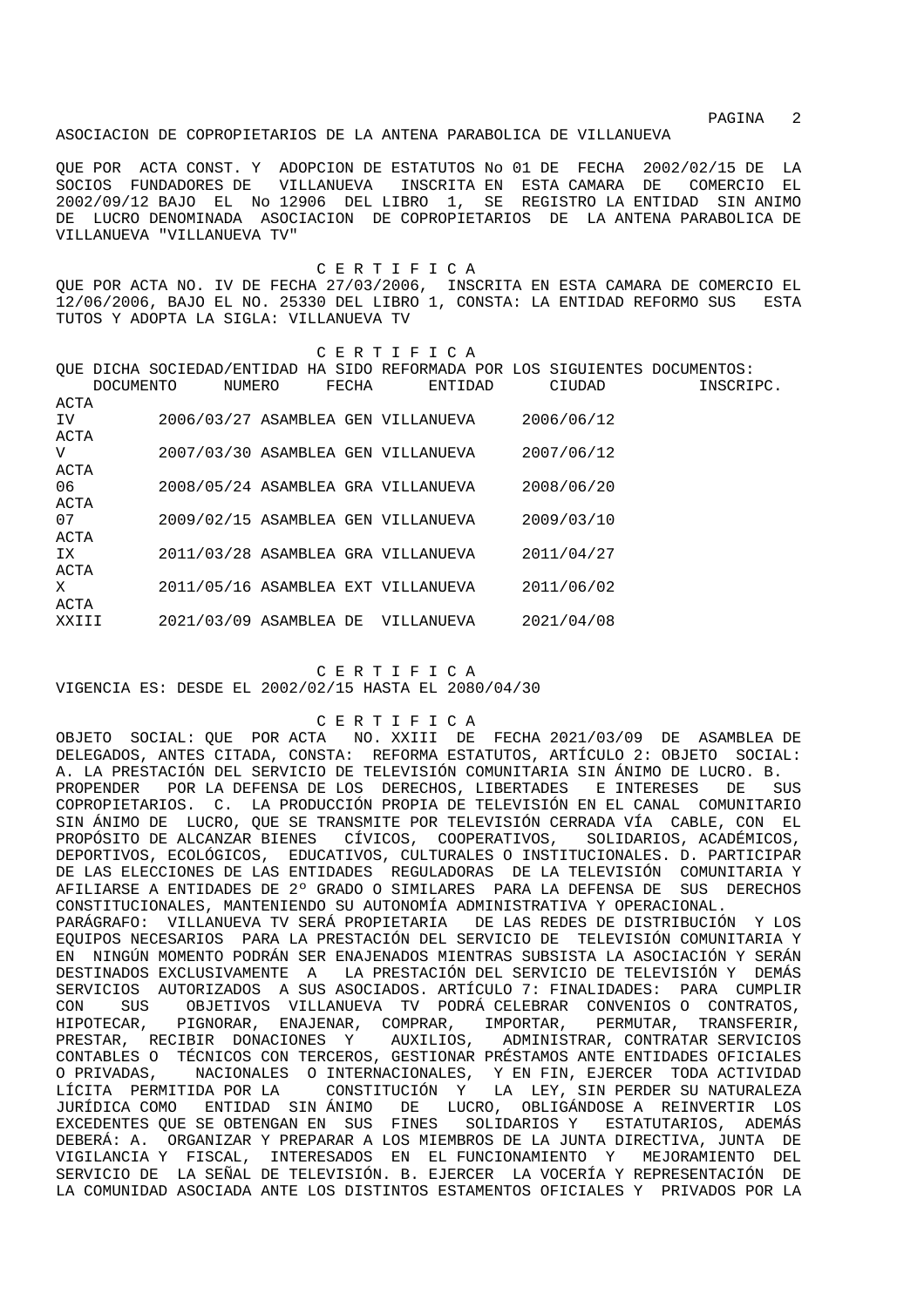PAGINA 2

### ASOCIACION DE COPROPIETARIOS DE LA ANTENA PARABOLICA DE VILLANUEVA

QUE POR ACTA CONST. Y ADOPCION DE ESTATUTOS No 01 DE FECHA 2002/02/15 DE LA SOCIOS FUNDADORES DE VILLANUEVA INSCRITA EN ESTA CAMARA DE COMERCIO EL 2002/09/12 BAJO EL No 12906 DEL LIBRO 1, SE REGISTRO LA ENTIDAD SIN ANIMO DE LUCRO DENOMINADA ASOCIACION DE COPROPIETARIOS DE LA ANTENA PARABOLICA DE VILLANUEVA "VILLANUEVA TV"

 C E R T I F I C A QUE POR ACTA NO. IV DE FECHA 27/03/2006, INSCRITA EN ESTA CAMARA DE COMERCIO EL 12/06/2006, BAJO EL NO. 25330 DEL LIBRO 1, CONSTA: LA ENTIDAD REFORMO SUS ESTA TUTOS Y ADOPTA LA SIGLA: VILLANUEVA TV

| CERTIFICA        |  |        |       |                                                                             |  |            |           |  |  |
|------------------|--|--------|-------|-----------------------------------------------------------------------------|--|------------|-----------|--|--|
|                  |  |        |       | OUE DICHA SOCIEDAD/ENTIDAD HA SIDO REFORMADA POR LOS SIGUIENTES DOCUMENTOS: |  |            |           |  |  |
| <b>DOCUMENTO</b> |  | NUMERO | FECHA | ENTIDAD                                                                     |  | CIUDAD     | INSCRIPC. |  |  |
| ACTA             |  |        |       |                                                                             |  |            |           |  |  |
| IV.              |  |        |       | 2006/03/27 ASAMBLEA GEN VILLANUEVA                                          |  | 2006/06/12 |           |  |  |
| ACTA             |  |        |       |                                                                             |  |            |           |  |  |
| V                |  |        |       | 2007/03/30 ASAMBLEA GEN VILLANUEVA                                          |  | 2007/06/12 |           |  |  |
| ACTA             |  |        |       |                                                                             |  |            |           |  |  |
| 06               |  |        |       | 2008/05/24 ASAMBLEA GRA VILLANUEVA                                          |  | 2008/06/20 |           |  |  |
| ACTA             |  |        |       |                                                                             |  |            |           |  |  |
| 07               |  |        |       | 2009/02/15 ASAMBLEA GEN VILLANUEVA                                          |  | 2009/03/10 |           |  |  |
| ACTA             |  |        |       |                                                                             |  |            |           |  |  |
| IX               |  |        |       | 2011/03/28 ASAMBLEA GRA VILLANUEVA                                          |  | 2011/04/27 |           |  |  |
| ACTA             |  |        |       |                                                                             |  |            |           |  |  |
| X                |  |        |       | 2011/05/16 ASAMBLEA EXT VILLANUEVA                                          |  | 2011/06/02 |           |  |  |
| ACTA             |  |        |       |                                                                             |  |            |           |  |  |
| XXIII            |  |        |       | 2021/03/09 ASAMBLEA DE VILLANUEVA                                           |  | 2021/04/08 |           |  |  |
|                  |  |        |       |                                                                             |  |            |           |  |  |

 C E R T I F I C A VIGENCIA ES: DESDE EL 2002/02/15 HASTA EL 2080/04/30

# C E R T I F I C A

OBJETO SOCIAL: QUE POR ACTA NO. XXIII DE FECHA 2021/03/09 DE ASAMBLEA DE DELEGADOS, ANTES CITADA, CONSTA: REFORMA ESTATUTOS, ARTÍCULO 2: OBJETO SOCIAL: A. LA PRESTACIÓN DEL SERVICIO DE TELEVISIÓN COMUNITARIA SIN ÁNIMO DE LUCRO. B. PROPENDER POR LA DEFENSA DE LOS DERECHOS, LIBERTADES E INTERESES DE SUS COPROPIETARIOS. C. LA PRODUCCIÓN PROPIA DE TELEVISIÓN EN EL CANAL COMUNITARIO SIN ÁNIMO DE LUCRO, QUE SE TRANSMITE POR TELEVISIÓN CERRADA VÍA CABLE, CON EL PROPÓSITO DE ALCANZAR BIENES CÍVICOS, COOPERATIVOS, SOLIDARIOS, ACADÉMICOS, DEPORTIVOS, ECOLÓGICOS, EDUCATIVOS, CULTURALES O INSTITUCIONALES. D. PARTICIPAR DE LAS ELECCIONES DE LAS ENTIDADES REGULADORAS DE LA TELEVISIÓN COMUNITARIA Y AFILIARSE A ENTIDADES DE 2º GRADO O SIMILARES PARA LA DEFENSA DE SUS DERECHOS CONSTITUCIONALES, MANTENIENDO SU AUTONOMÍA ADMINISTRATIVA Y OPERACIONAL. PARÁGRAFO: VILLANUEVA TV SERÁ PROPIETARIA DE LAS REDES DE DISTRIBUCIÓN Y LOS EQUIPOS NECESARIOS PARA LA PRESTACIÓN DEL SERVICIO DE TELEVISIÓN COMUNITARIA Y EN NINGÚN MOMENTO PODRÁN SER ENAJENADOS MIENTRAS SUBSISTA LA ASOCIACIÓN Y SERÁN DESTINADOS EXCLUSIVAMENTE A LA PRESTACIÓN DEL SERVICIO DE TELEVISIÓN Y DEMÁS SERVICIOS AUTORIZADOS A SUS ASOCIADOS. ARTÍCULO 7: FINALIDADES: PARA CUMPLIR CON SUS OBJETIVOS VILLANUEVA TV PODRÁ CELEBRAR CONVENIOS O CONTRATOS, HIPOTECAR, PIGNORAR, ENAJENAR, COMPRAR, IMPORTAR, PERMUTAR, TRANSFERIR, PRESTAR, RECIBIR DONACIONES Y AUXILIOS, ADMINISTRAR, CONTRATAR SERVICIOS CONTABLES O TÉCNICOS CON TERCEROS, GESTIONAR PRÉSTAMOS ANTE ENTIDADES OFICIALES O PRIVADAS, NACIONALES O INTERNACIONALES, Y EN FIN, EJERCER TODA ACTIVIDAD LÍCITA PERMITIDA POR LA CONSTITUCIÓN Y LA LEY, SIN PERDER SU NATURALEZA JURÍDICA COMO ENTIDAD SIN ÁNIMO DE LUCRO, OBLIGÁNDOSE A REINVERTIR LOS EXCEDENTES QUE SE OBTENGAN EN SUS FINES SOLIDARIOS Y ESTATUTARIOS, ADEMÁS DEBERÁ: A. ORGANIZAR Y PREPARAR A LOS MIEMBROS DE LA JUNTA DIRECTIVA, JUNTA DE VIGILANCIA Y FISCAL, INTERESADOS EN EL FUNCIONAMIENTO Y MEJORAMIENTO DEL SERVICIO DE LA SEÑAL DE TELEVISIÓN. B. EJERCER LA VOCERÍA Y REPRESENTACIÓN DE LA COMUNIDAD ASOCIADA ANTE LOS DISTINTOS ESTAMENTOS OFICIALES Y PRIVADOS POR LA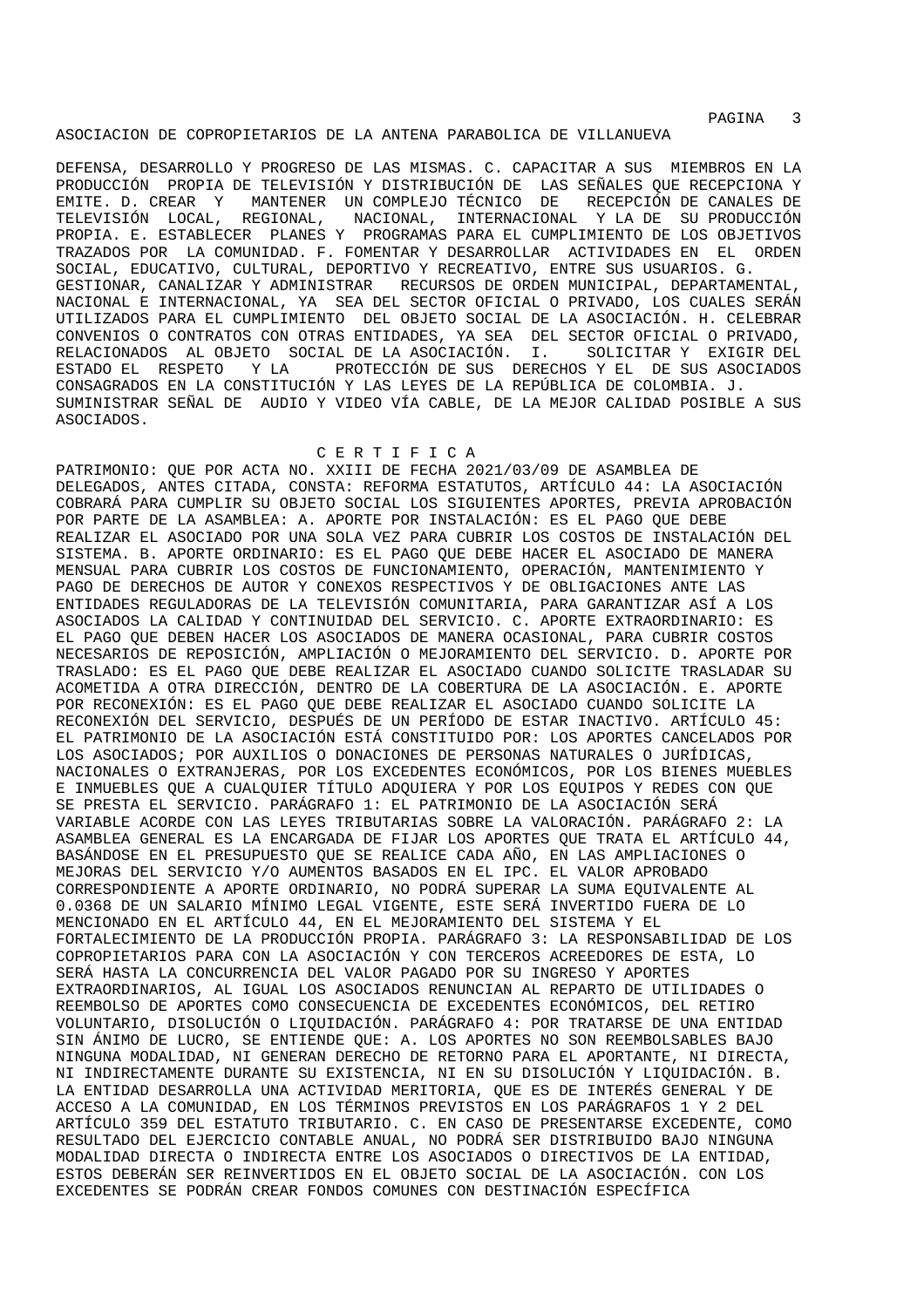experiment of the state of the state of the state of the state of the state of the state of the state of the state of the state of the state of the state of the state of the state of the state of the state of the state of

## ASOCIACION DE COPROPIETARIOS DE LA ANTENA PARABOLICA DE VILLANUEVA

DEFENSA, DESARROLLO Y PROGRESO DE LAS MISMAS. C. CAPACITAR A SUS MIEMBROS EN LA PRODUCCIÓN PROPIA DE TELEVISIÓN Y DISTRIBUCIÓN DE LAS SEÑALES QUE RECEPCIONA Y EMITE. D. CREAR Y MANTENER UN COMPLEJO TÉCNICO DE RECEPCIÓN DE CANALES DE TELEVISIÓN LOCAL, REGIONAL, NACIONAL, INTERNACIONAL Y LA DE SU PRODUCCIÓN PROPIA. E. ESTABLECER PLANES Y PROGRAMAS PARA EL CUMPLIMIENTO DE LOS OBJETIVOS TRAZADOS POR LA COMUNIDAD. F. FOMENTAR Y DESARROLLAR ACTIVIDADES EN EL ORDEN SOCIAL, EDUCATIVO, CULTURAL, DEPORTIVO Y RECREATIVO, ENTRE SUS USUARIOS. G. GESTIONAR, CANALIZAR Y ADMINISTRAR RECURSOS DE ORDEN MUNICIPAL, DEPARTAMENTAL, NACIONAL E INTERNACIONAL, YA SEA DEL SECTOR OFICIAL O PRIVADO, LOS CUALES SERÁN UTILIZADOS PARA EL CUMPLIMIENTO DEL OBJETO SOCIAL DE LA ASOCIACIÓN. H. CELEBRAR CONVENIOS O CONTRATOS CON OTRAS ENTIDADES, YA SEA DEL SECTOR OFICIAL O PRIVADO, RELACIONADOS AL OBJETO SOCIAL DE LA ASOCIACIÓN. I. ESTADO EL RESPETO Y LA PROTECCIÓN DE SUS DERECHOS Y EL DE SUS ASOCIADOS CONSAGRADOS EN LA CONSTITUCIÓN Y LAS LEYES DE LA REPÚBLICA DE COLOMBIA. J. SUMINISTRAR SEÑAL DE AUDIO Y VIDEO VÍA CABLE, DE LA MEJOR CALIDAD POSIBLE A SUS ASOCIADOS.

#### C E R T I F I C A

PATRIMONIO: QUE POR ACTA NO. XXIII DE FECHA 2021/03/09 DE ASAMBLEA DE DELEGADOS, ANTES CITADA, CONSTA: REFORMA ESTATUTOS, ARTÍCULO 44: LA ASOCIACIÓN COBRARÁ PARA CUMPLIR SU OBJETO SOCIAL LOS SIGUIENTES APORTES, PREVIA APROBACIÓN POR PARTE DE LA ASAMBLEA: A. APORTE POR INSTALACIÓN: ES EL PAGO QUE DEBE REALIZAR EL ASOCIADO POR UNA SOLA VEZ PARA CUBRIR LOS COSTOS DE INSTALACIÓN DEL SISTEMA. B. APORTE ORDINARIO: ES EL PAGO QUE DEBE HACER EL ASOCIADO DE MANERA MENSUAL PARA CUBRIR LOS COSTOS DE FUNCIONAMIENTO, OPERACIÓN, MANTENIMIENTO Y PAGO DE DERECHOS DE AUTOR Y CONEXOS RESPECTIVOS Y DE OBLIGACIONES ANTE LAS ENTIDADES REGULADORAS DE LA TELEVISIÓN COMUNITARIA, PARA GARANTIZAR ASÍ A LOS ASOCIADOS LA CALIDAD Y CONTINUIDAD DEL SERVICIO. C. APORTE EXTRAORDINARIO: ES EL PAGO QUE DEBEN HACER LOS ASOCIADOS DE MANERA OCASIONAL, PARA CUBRIR COSTOS NECESARIOS DE REPOSICIÓN, AMPLIACIÓN O MEJORAMIENTO DEL SERVICIO. D. APORTE POR TRASLADO: ES EL PAGO QUE DEBE REALIZAR EL ASOCIADO CUANDO SOLICITE TRASLADAR SU ACOMETIDA A OTRA DIRECCIÓN, DENTRO DE LA COBERTURA DE LA ASOCIACIÓN. E. APORTE POR RECONEXIÓN: ES EL PAGO QUE DEBE REALIZAR EL ASOCIADO CUANDO SOLICITE LA RECONEXIÓN DEL SERVICIO, DESPUÉS DE UN PERÍODO DE ESTAR INACTIVO. ARTÍCULO 45: EL PATRIMONIO DE LA ASOCIACIÓN ESTÁ CONSTITUIDO POR: LOS APORTES CANCELADOS POR LOS ASOCIADOS; POR AUXILIOS O DONACIONES DE PERSONAS NATURALES O JURÍDICAS, NACIONALES O EXTRANJERAS, POR LOS EXCEDENTES ECONÓMICOS, POR LOS BIENES MUEBLES E INMUEBLES QUE A CUALQUIER TÍTULO ADQUIERA Y POR LOS EQUIPOS Y REDES CON QUE SE PRESTA EL SERVICIO. PARÁGRAFO 1: EL PATRIMONIO DE LA ASOCIACIÓN SERÁ VARIABLE ACORDE CON LAS LEYES TRIBUTARIAS SOBRE LA VALORACIÓN. PARÁGRAFO 2: LA ASAMBLEA GENERAL ES LA ENCARGADA DE FIJAR LOS APORTES QUE TRATA EL ARTÍCULO 44, BASÁNDOSE EN EL PRESUPUESTO QUE SE REALICE CADA AÑO, EN LAS AMPLIACIONES O MEJORAS DEL SERVICIO Y/O AUMENTOS BASADOS EN EL IPC. EL VALOR APROBADO CORRESPONDIENTE A APORTE ORDINARIO, NO PODRÁ SUPERAR LA SUMA EQUIVALENTE AL 0.0368 DE UN SALARIO MÍNIMO LEGAL VIGENTE, ESTE SERÁ INVERTIDO FUERA DE LO MENCIONADO EN EL ARTÍCULO 44, EN EL MEJORAMIENTO DEL SISTEMA Y EL FORTALECIMIENTO DE LA PRODUCCIÓN PROPIA. PARÁGRAFO 3: LA RESPONSABILIDAD DE LOS COPROPIETARIOS PARA CON LA ASOCIACIÓN Y CON TERCEROS ACREEDORES DE ESTA, LO SERÁ HASTA LA CONCURRENCIA DEL VALOR PAGADO POR SU INGRESO Y APORTES EXTRAORDINARIOS, AL IGUAL LOS ASOCIADOS RENUNCIAN AL REPARTO DE UTILIDADES O REEMBOLSO DE APORTES COMO CONSECUENCIA DE EXCEDENTES ECONÓMICOS, DEL RETIRO VOLUNTARIO, DISOLUCIÓN O LIQUIDACIÓN. PARÁGRAFO 4: POR TRATARSE DE UNA ENTIDAD SIN ÁNIMO DE LUCRO, SE ENTIENDE QUE: A. LOS APORTES NO SON REEMBOLSABLES BAJO NINGUNA MODALIDAD, NI GENERAN DERECHO DE RETORNO PARA EL APORTANTE, NI DIRECTA, NI INDIRECTAMENTE DURANTE SU EXISTENCIA, NI EN SU DISOLUCIÓN Y LIQUIDACIÓN. B. LA ENTIDAD DESARROLLA UNA ACTIVIDAD MERITORIA, QUE ES DE INTERÉS GENERAL Y DE ACCESO A LA COMUNIDAD, EN LOS TÉRMINOS PREVISTOS EN LOS PARÁGRAFOS 1 Y 2 DEL ARTÍCULO 359 DEL ESTATUTO TRIBUTARIO. C. EN CASO DE PRESENTARSE EXCEDENTE, COMO RESULTADO DEL EJERCICIO CONTABLE ANUAL, NO PODRÁ SER DISTRIBUIDO BAJO NINGUNA MODALIDAD DIRECTA O INDIRECTA ENTRE LOS ASOCIADOS O DIRECTIVOS DE LA ENTIDAD, ESTOS DEBERÁN SER REINVERTIDOS EN EL OBJETO SOCIAL DE LA ASOCIACIÓN. CON LOS EXCEDENTES SE PODRÁN CREAR FONDOS COMUNES CON DESTINACIÓN ESPECÍFICA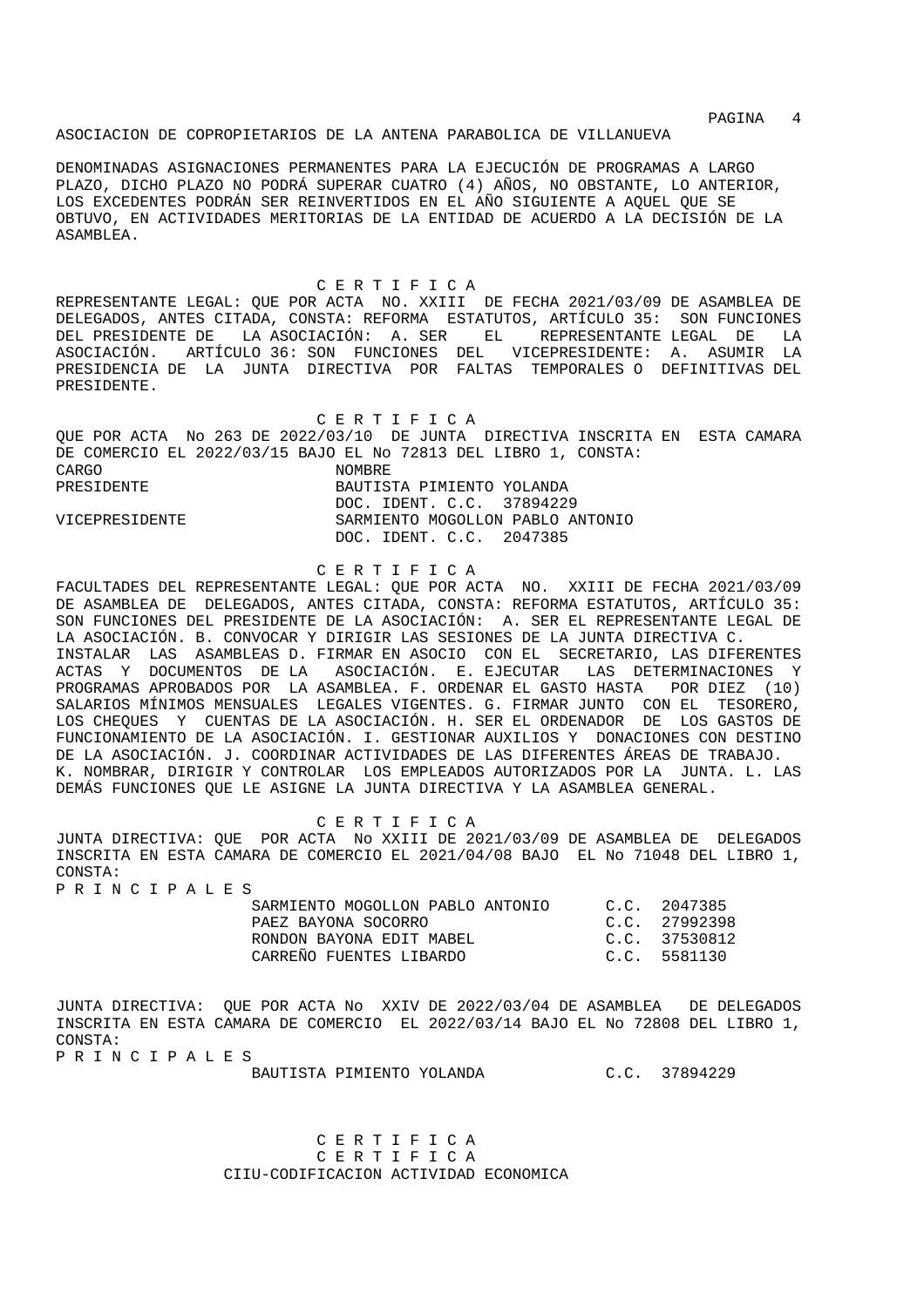## ASOCIACION DE COPROPIETARIOS DE LA ANTENA PARABOLICA DE VILLANUEVA

DENOMINADAS ASIGNACIONES PERMANENTES PARA LA EJECUCIÓN DE PROGRAMAS A LARGO PLAZO, DICHO PLAZO NO PODRÁ SUPERAR CUATRO (4) AÑOS, NO OBSTANTE, LO ANTERIOR, LOS EXCEDENTES PODRÁN SER REINVERTIDOS EN EL AÑO SIGUIENTE A AQUEL QUE SE OBTUVO, EN ACTIVIDADES MERITORIAS DE LA ENTIDAD DE ACUERDO A LA DECISIÓN DE LA ASAMBLEA.

 C E R T I F I C A REPRESENTANTE LEGAL: QUE POR ACTA NO. XXIII DE FECHA 2021/03/09 DE ASAMBLEA DE DELEGADOS, ANTES CITADA, CONSTA: REFORMA ESTATUTOS, ARTÍCULO 35: SON FUNCIONES DEL PRESIDENTE DE LA ASOCIACIÓN: A. SER EL REPRESENTANTE LEGAL DE LA ASOCIACIÓN. ARTÍCULO 36: SON FUNCIONES DEL VICEPRESIDENTE: A. ASUMIR LA PRESIDENCIA DE LA JUNTA DIRECTIVA POR FALTAS TEMPORALES O DEFINITIVAS DEL PRESIDENTE.

 C E R T I F I C A QUE POR ACTA No 263 DE 2022/03/10 DE JUNTA DIRECTIVA INSCRITA EN ESTA CAMARA DE COMERCIO EL 2022/03/15 BAJO EL No 72813 DEL LIBRO 1, CONSTA: CARGO NOMBRE PRESIDENTE BAUTISTA PIMIENTO YOLANDA DOC. IDENT. C.C. 37894229<br>VICEPRESIDENTE SARMIENTO MOGOLLON PABLO A SARMIENTO MOGOLLON PABLO ANTONIO DOC. IDENT. C.C. 2047385

# C E R T I F I C A

FACULTADES DEL REPRESENTANTE LEGAL: QUE POR ACTA NO. XXIII DE FECHA 2021/03/09 DE ASAMBLEA DE DELEGADOS, ANTES CITADA, CONSTA: REFORMA ESTATUTOS, ARTÍCULO 35: SON FUNCIONES DEL PRESIDENTE DE LA ASOCIACIÓN: A. SER EL REPRESENTANTE LEGAL DE LA ASOCIACIÓN. B. CONVOCAR Y DIRIGIR LAS SESIONES DE LA JUNTA DIRECTIVA C. INSTALAR LAS ASAMBLEAS D. FIRMAR EN ASOCIO CON EL SECRETARIO, LAS DIFERENTES ACTAS Y DOCUMENTOS DE LA ASOCIACIÓN. E. EJECUTAR LAS DETERMINACIONES Y PROGRAMAS APROBADOS POR LA ASAMBLEA. F. ORDENAR EL GASTO HASTA POR DIEZ (10) SALARIOS MÍNIMOS MENSUALES LEGALES VIGENTES. G. FIRMAR JUNTO CON EL TESORERO, LOS CHEQUES Y CUENTAS DE LA ASOCIACIÓN. H. SER EL ORDENADOR DE LOS GASTOS DE FUNCIONAMIENTO DE LA ASOCIACIÓN. I. GESTIONAR AUXILIOS Y DONACIONES CON DESTINO DE LA ASOCIACIÓN. J. COORDINAR ACTIVIDADES DE LAS DIFERENTES ÁREAS DE TRABAJO. K. NOMBRAR, DIRIGIR Y CONTROLAR LOS EMPLEADOS AUTORIZADOS POR LA JUNTA. L. LAS DEMÁS FUNCIONES QUE LE ASIGNE LA JUNTA DIRECTIVA Y LA ASAMBLEA GENERAL.

C E R T I F I C A

JUNTA DIRECTIVA: QUE POR ACTA No XXIII DE 2021/03/09 DE ASAMBLEA DE DELEGADOS INSCRITA EN ESTA CAMARA DE COMERCIO EL 2021/04/08 BAJO EL No 71048 DEL LIBRO 1, CONSTA: P R I N C I P A L E S

| SARMIENTO MOGOLLON PABLO ANTONIO | C.C. 2047385  |
|----------------------------------|---------------|
| PAEZ BAYONA SOCORRO              | C.C. 27992398 |
| RONDON BAYONA EDIT MABEL         | C.C. 37530812 |
| CARREÑO FUENTES LIBARDO          | C.C. 5581130  |

JUNTA DIRECTIVA: QUE POR ACTA No XXIV DE 2022/03/04 DE ASAMBLEA DE DELEGADOS INSCRITA EN ESTA CAMARA DE COMERCIO EL 2022/03/14 BAJO EL No 72808 DEL LIBRO 1, CONSTA: P R I N C I P A L E S

BAUTISTA PIMIENTO YOLANDA C.C. 37894229

 C E R T I F I C A C E R T I F I C A CIIU-CODIFICACION ACTIVIDAD ECONOMICA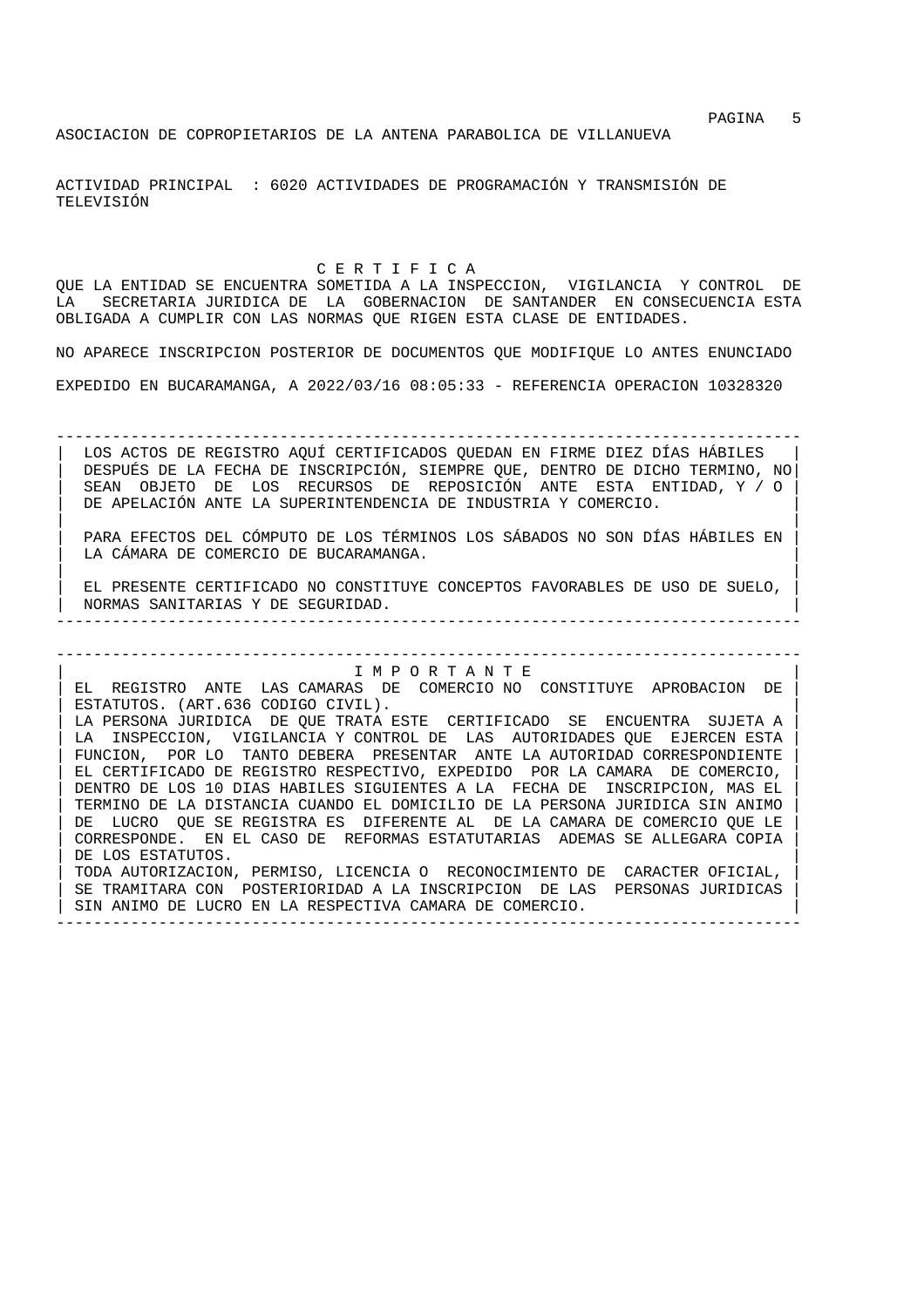ACTIVIDAD PRINCIPAL : 6020 ACTIVIDADES DE PROGRAMACIÓN Y TRANSMISIÓN DE TELEVISIÓN

C E R T I F I C A

QUE LA ENTIDAD SE ENCUENTRA SOMETIDA A LA INSPECCION, VIGILANCIA Y CONTROL DE LA SECRETARIA JURIDICA DE LA GOBERNACION DE SANTANDER EN CONSECUENCIA ESTA OBLIGADA A CUMPLIR CON LAS NORMAS QUE RIGEN ESTA CLASE DE ENTIDADES.

NO APARECE INSCRIPCION POSTERIOR DE DOCUMENTOS QUE MODIFIQUE LO ANTES ENUNCIADO

EXPEDIDO EN BUCARAMANGA, A 2022/03/16 08:05:33 - REFERENCIA OPERACION 10328320

-------------------------------------------------------------------------------- LOS ACTOS DE REGISTRO AQUÍ CERTIFICADOS QUEDAN EN FIRME DIEZ DÍAS HÁBILES | DESPUÉS DE LA FECHA DE INSCRIPCIÓN, SIEMPRE QUE, DENTRO DE DICHO TERMINO, NO| | SEAN OBJETO DE LOS RECURSOS DE REPOSICIÓN ANTE ESTA ENTIDAD, Y / O | DE APELACIÓN ANTE LA SUPERINTENDENCIA DE INDUSTRIA Y COMERCIO.

| | | PARA EFECTOS DEL CÓMPUTO DE LOS TÉRMINOS LOS SÁBADOS NO SON DÍAS HÁBILES EN | LA CÁMARA DE COMERCIO DE BUCARAMANGA. | |

EL PRESENTE CERTIFICADO NO CONSTITUYE CONCEPTOS FAVORABLES DE USO DE SUELO, | NORMAS SANITARIAS Y DE SEGURIDAD. | --------------------------------------------------------------------------------

--------------------------------------------------------------------------------

| I M P O R T A N T E | EL REGISTRO ANTE LAS CAMARAS DE COMERCIO NO CONSTITUYE APROBACION DE ESTATUTOS. (ART.636 CODIGO CIVIL). LA PERSONA JURIDICA DE QUE TRATA ESTE CERTIFICADO SE ENCUENTRA SUJETA A LA INSPECCION, VIGILANCIA Y CONTROL DE LAS AUTORIDADES QUE EJERCEN ESTA FUNCION, POR LO TANTO DEBERA PRESENTAR ANTE LA AUTORIDAD CORRESPONDIENTE | EL CERTIFICADO DE REGISTRO RESPECTIVO, EXPEDIDO POR LA CAMARA DE COMERCIO, | | DENTRO DE LOS 10 DIAS HABILES SIGUIENTES A LA FECHA DE INSCRIPCION, MAS EL | | TERMINO DE LA DISTANCIA CUANDO EL DOMICILIO DE LA PERSONA JURIDICA SIN ANIMO | | DE LUCRO QUE SE REGISTRA ES DIFERENTE AL DE LA CAMARA DE COMERCIO QUE LE | | CORRESPONDE. EN EL CASO DE REFORMAS ESTATUTARIAS ADEMAS SE ALLEGARA COPIA | DE LOS ESTATUTOS. | TODA AUTORIZACION, PERMISO, LICENCIA O RECONOCIMIENTO DE CARACTER OFICIAL, | SE TRAMITARA CON POSTERIORIDAD A LA INSCRIPCION DE LAS PERSONAS JURIDICAS SIN ANIMO DE LUCRO EN LA RESPECTIVA CAMARA DE COMERCIO.

--------------------------------------------------------------------------------